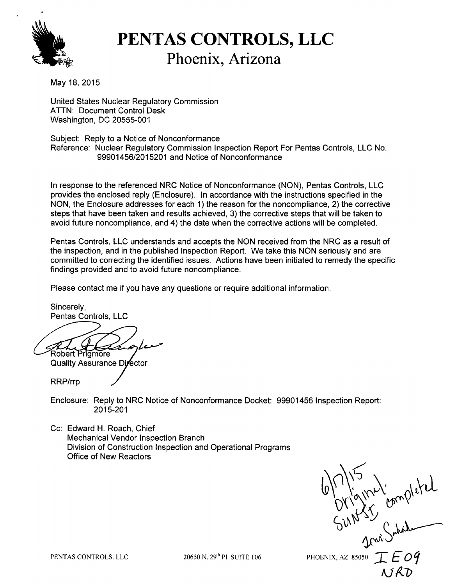

## **bPENTAS CONTROLS, LLC** Phoenix, Arizona

May 18, 2015

United States Nuclear Regulatory Commission ATTN: Document Control Desk Washington, DC 20555-001

Subject: Reply to a Notice of Nonconformance Reference: Nuclear Regulatory Commission Inspection Report For Pentas Controls, LLC No. 99901456/2015201 and Notice of Nonconformance

In response to the referenced NRC Notice of Nonconformance (NON), Pentas Controls, LLC provides the enclosed reply (Enclosure). In accordance with the instructions specified in the NON, the Enclosure addresses for each 1) the reason for the noncompliance, 2) the corrective steps that have been taken and results achieved, 3) the corrective steps that will be taken to avoid future noncompliance, and 4) the date when the corrective actions will be completed.

Pentas Controls, LLC understands and accepts the NON received from the NRC as a result of the inspection, and in the published Inspection Report. We take this NON seriously and are committed to correcting the identified issues. Actions have been initiated to remedy the specific findings provided and to avoid future noncompliance.

Please contact me if you have any questions or require additional information.

Sincerely, Pentas Controls, LLC

Robert Prigmore

Quality Assurance Divector

RRP/rrp

Enclosure: Reply to NRC Notice of Nonconformance Docket: 99901456 Inspection Report: 2015-201

Cc: Edward H. Roach, Chief Mechanical Vendor Inspection Branch Division of Construction Inspection and Operational Programs Office of New Reactors

CONTROLS. LLC 20650 N. 29<sup>th</sup> Pl. SUITE 106 PHOENIX, AZ 85050 T F 09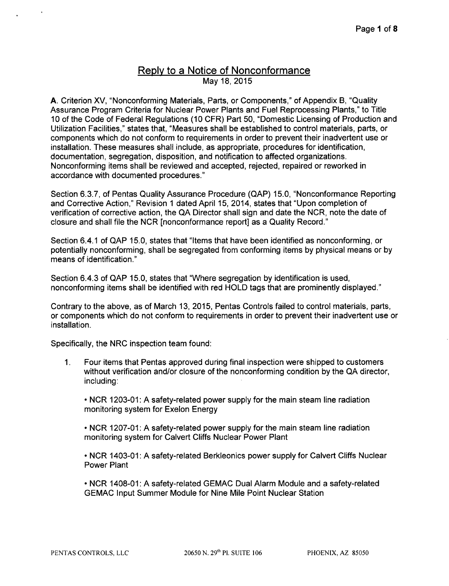## **Reply to a Notice of Nonconformance** May 18, 2015

A. Criterion XV, "Nonconforming Materials, Parts, or Components," of Appendix B, "Quality Assurance Program Criteria for Nuclear Power Plants and Fuel Reprocessing Plants," to Title 10 of the Code of Federal Regulations (10 CFR) Part 50, "Domestic Licensing of Production and Utilization Facilities," states that, "Measures shall be established to control materials, parts, or components which do not conform to requirements in order to prevent their inadvertent use or installation. These measures shall include, as appropriate, procedures for identification, documentation, segregation, disposition, and notification to affected organizations. Nonconforming items shall be reviewed and accepted, rejected, repaired or reworked in accordance with documented procedures."

Section 6.3.7, of Pentas Quality Assurance Procedure (QAP) 15.0, "Nonconformance Reporting and Corrective Action," Revision 1 dated April 15, 2014, states that "Upon completion of verification of corrective action, the QA Director shall sign and date the NCR, note the date of closure and shall file the NCR [nonconformance report] as a Quality Record."

Section 6.4.1 of QAP 15.0, states that "Items that have been identified as nonconforming, or potentially nonconforming, shall be segregated from conforming items by physical means or by means of identification."

Section 6.4.3 of QAP 15.0, states that "Where segregation by identification is used, nonconforming items shall be identified with red HOLD tags that are prominently displayed."

Contrary to the above, as of March 13, 2015, Pentas Controls failed to control materials, parts, or components which do not conform to requirements in order to prevent their inadvertent use or installation.

Specifically, the NRC inspection team found:

1. Four items that Pentas approved during final inspection were shipped to customers without verification and/or closure of the nonconforming condition by the QA director, including:

**-** NCR 1203-01: A safety-related power supply for the main steam line radiation monitoring system for Exelon Energy

- **-** NCR 1207-01: A safety-related power supply for the main steam line radiation monitoring system for Calvert Cliffs Nuclear Power Plant
- **-** NCR 1403-01: A safety-related Berkleonics power supply for Calvert Cliffs Nuclear Power Plant
- **-** NCR 1408-01: A safety-related GEMAC Dual Alarm Module and a safety-related GEMAC Input Summer Module for Nine Mile Point Nuclear Station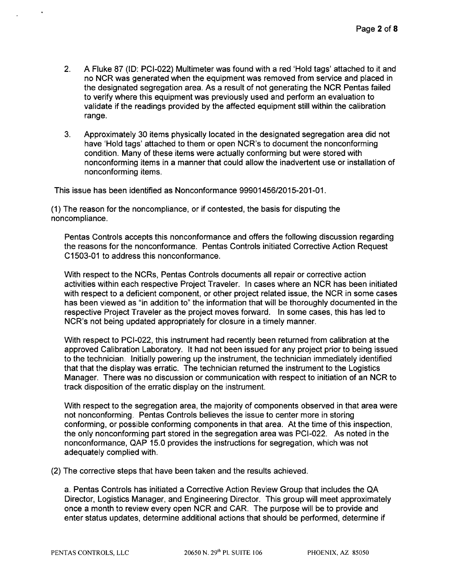- 2. A Fluke 87 (ID: PCI-022) Multimeter was found with a red 'Hold tags' attached to it and no NCR was generated when the equipment was removed from service and placed in the designated segregation area. As a result of not generating the NCR Pentas failed to verify where this equipment was previously used and perform an evaluation to validate if the readings provided by the affected equipment still within the calibration range.
- 3. Approximately 30 items physically located in the designated segregation area did not have 'Hold tags' attached to them or open NCR's to document the nonconforming condition. Many of these items were actually conforming but were stored with nonconforming items in a manner that could allow the inadvertent use or installation of nonconforming items.

This issue has been identified as Nonconformance 99901456/2015-201-01.

(1) The reason for the noncompliance, or if contested, the basis for disputing the noncompliance.

Pentas Controls accepts this nonconformance and offers the following discussion regarding the reasons for the nonconformance. Pentas Controls initiated Corrective Action Request C1503-01 to address this nonconformance.

With respect to the NCRs, Pentas Controls documents all repair or corrective action activities within each respective Project Traveler. In cases where an NCR has been initiated with respect to a deficient component, or other project related issue, the NCR in some cases has been viewed as "in addition to" the information that will be thoroughly documented in the respective Project Traveler as the project moves forward. In some cases, this has led to NCR's not being updated appropriately for closure in a timely manner.

With respect to PCI-022, this instrument had recently been returned from calibration at the approved Calibration Laboratory. It had not been issued for any project prior to being issued to the technician. Initially powering up the instrument, the technician immediately identified that that the display was erratic. The technician returned the instrument to the Logistics Manager. There was no discussion or communication with respect to initiation of an NCR to track disposition of the erratic display on the instrument.

With respect to the segregation area, the majority of components observed in that area were not nonconforming. Pentas Controls believes the issue to center more in storing conforming, or possible conforming components in that area. At the time of this inspection, the only nonconforming part stored in the segregation area was PCI-022. As noted in the nonconformance, QAP 15.0 provides the instructions for segregation, which was not adequately complied with.

(2) The corrective steps that have been taken and the results achieved.

a. Pentas Controls has initiated a Corrective Action Review Group that includes the QA Director, Logistics Manager, and Engineering Director. This group will meet approximately once a month to review every open NCR and CAR. The purpose will be to provide and enter status updates, determine additional actions that should be performed, determine if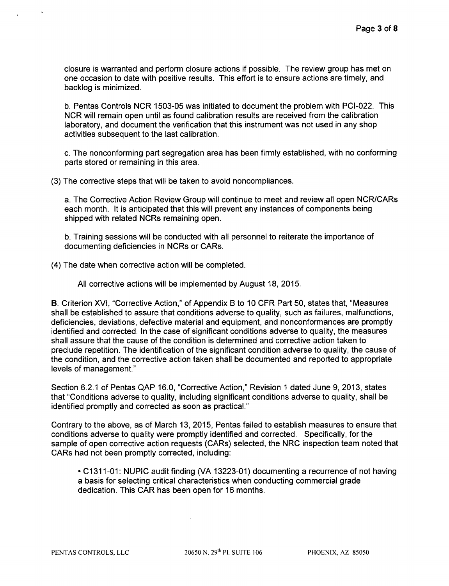closure is warranted and perform closure actions if possible. The review group has met on one occasion to date with positive results. This effort is to ensure actions are timely, and backlog is minimized.

b. Pentas Controls NCR 1503-05 was initiated to document the problem with PCI-022. This NCR will remain open until as found calibration results are received from the calibration laboratory, and document the verification that this instrument was not used in any shop activities subsequent to the last calibration.

c. The nonconforming part segregation area has been firmly established, with no conforming parts stored or remaining in this area.

(3) The corrective steps that will be taken to avoid noncompliances.

a. The Corrective Action Review Group will continue to meet and review all open NCR/CARs each month. It is anticipated that this will prevent any instances of components being shipped with related NCRs remaining open.

b. Training sessions will be conducted with all personnel to reiterate the importance of documenting deficiencies in NCRs or CARs.

(4) The date when corrective action will be completed.

All corrective actions will be implemented by August 18, 2015.

B. Criterion XVI, "Corrective Action," of Appendix B to 10 CFR Part 50, states that, "Measures shall be established to assure that conditions adverse to quality, such as failures, malfunctions, deficiencies, deviations, defective material and equipment, and nonconformances are promptly identified and corrected. In the case of significant conditions adverse to quality, the measures shall assure that the cause of the condition is determined and corrective action taken to preclude repetition. The identification of the significant condition adverse to quality, the cause of the condition, and the corrective action taken shall be documented and reported to appropriate levels of management."

Section 6.2.1 of Pentas QAP 16.0, "Corrective Action," Revision 1 dated June 9, 2013, states that "Conditions adverse to quality, including significant conditions adverse to quality, shall be identified promptly and corrected as soon as practical."

Contrary to the above, as of March 13, 2015, Pentas failed to establish measures to ensure that conditions adverse to quality were promptly identified and corrected. Specifically, for the sample of open corrective action requests (CARs) selected, the NRC inspection team noted that CARs had not been promptly corrected, including:

**-** C1311-01: NUPIC audit finding (VA 13223-01) documenting a recurrence of not having a basis for selecting critical characteristics when conducting commercial grade dedication. This CAR has been open for 16 months.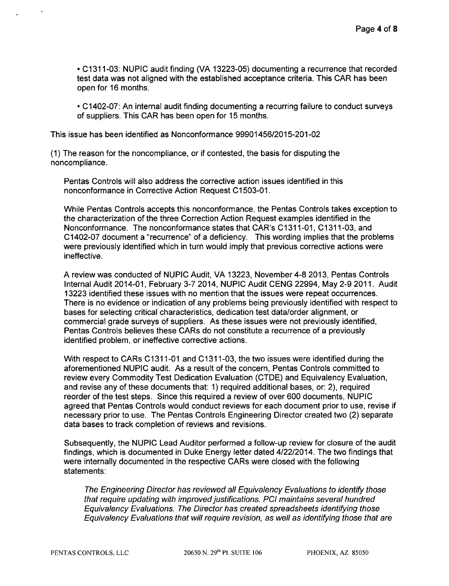• C1311-03: NUPIC audit finding (VA 13223-05) documenting a recurrence that recorded test data was not aligned with the established acceptance criteria. This CAR has been open for 16 months.

\* C1402-07: An internal audit finding documenting a recurring failure to conduct surveys of suppliers. This CAR has been open for 15 months.

This issue has been identified as Nonconformance 99901456/2015-201-02

(1) The reason for the noncompliance, or if contested, the basis for disputing the noncompliance.

Pentas Controls will also address the corrective action issues identified in this nonconformance in Corrective Action Request **C1** 503-01.

While Pentas Controls accepts this nonconformance, the Pentas Controls takes exception to the characterization of the three Correction Action Request examples identified in the Nonconformance. The nonconformance states that CAR's **C1** 311-01, **C1** 311-03, and C1402-07 document a "recurrence" of a deficiency. This wording implies that the problems were previously identified which in turn would imply that previous corrective actions were ineffective.

A review was conducted of NUPIC Audit, VA 13223, November 4-8 2013, Pentas Controls Internal Audit 2014-01, February 3-7 2014, NUPIC Audit CENG 22994, May 2-9 2011. Audit 13223 identified these issues with no mention that the issues were repeat occurrences. There is no evidence or indication of any problems being previously identified with respect to bases for selecting critical characteristics, dedication test data/order alignment, or commercial grade surveys of suppliers. As these issues were not previously identified, Pentas Controls believes these CARs do not constitute a recurrence of a previously identified problem, or ineffective corrective actions.

With respect to CARs C1311-01 and C1311-03, the two issues were identified during the aforementioned NUPIC audit. As a result of the concern, Pentas Controls committed to review every Commodity Test Dedication Evaluation (CTDE) and Equivalency Evaluation, and revise any of these documents that: 1) required additional bases, or: 2), required reorder of the test steps. Since this required a review of over 600 documents, NUPIC agreed that Pentas Controls would conduct reviews for each document prior to use, revise if necessary prior to use. The Pentas Controls Engineering Director created two (2) separate data bases to track completion of reviews and revisions.

Subsequently, the NUPIC Lead Auditor performed a follow-up review for closure of the audit findings, which is documented in Duke Energy letter dated 4/22/2014. The two findings that were internally documented in the respective CARs were closed with the following statements:

*The Engineering Director has reviewed all Equivalency Evaluations to identify those that require updating with improved justifications. PCI maintains several hundred Equivalency Evaluations. The Director has created spreadsheets identifying those Equivalency Evaluations that will require revision, as well as identifying those that are*

**PENTAS CONTROLS, LLC** 20650 N. **29th** PI. SUITE 106 **PHOENIX,** AZ **85050**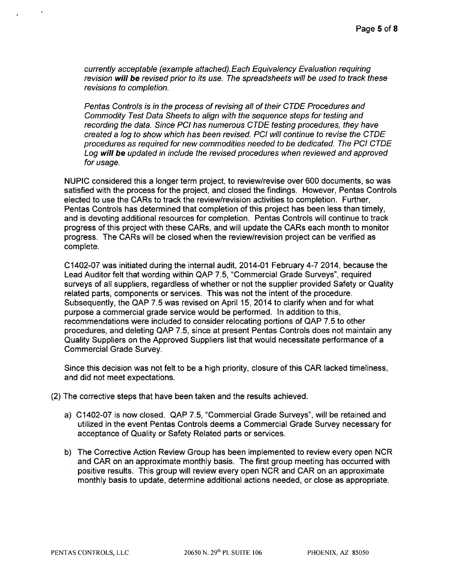*currently acceptable (example attached). Each Equivalency Evaluation requiring revision will be revised prior to its use. The spreadsheets will be used to track these revisions to completion.*

*Pentas Controls is in the process of revising all of their CTDE Procedures and Commodity Test Data Sheets to align with the sequence steps for testing and recording the data. Since PCI has numerous CTDE testing procedures, they have created a log to show which has been revised. PCI will continue to revise the CTDE procedures as required for new commodities needed to be dedicated. The PCI CTDE Log will* be *updated in include the revised procedures when reviewed and approved for usage.*

NUPIC considered this a longer term project, to review/revise over 600 documents, so was satisfied with the process for the project, and closed the findings. However, Pentas Controls elected to use the CARs to track the review/revision activities to completion. Further, Pentas Controls has determined that completion of this project has been less than timely, and is devoting additional resources for completion. Pentas Controls will continue to track progress of this project with these CARs, and will update the CARs each month to monitor progress. The CARs will be closed when the review/revision project can be verified as complete.

C1402-07 was initiated during the internal audit, 2014-01 February 4-7 2014, because the Lead Auditor felt that wording within QAP 7.5, "Commercial Grade Surveys", required surveys of all suppliers, regardless of whether or not the supplier provided Safety or Quality related parts, components or services. This was not the intent of the procedure. Subsequently, the QAP 7.5 was revised on April 15, 2014 to clarify when and for what purpose a commercial grade service would be performed. In addition to this, recommendations were included to consider relocating portions of QAP 7.5 to other procedures, and deleting QAP 7.5, since at present Pentas Controls does not maintain any Quality Suppliers on the Approved Suppliers list that would necessitate performance of a Commercial Grade Survey.

Since this decision was not felt to be a high priority, closure of this CAR lacked timeliness, and did not meet expectations.

- (2) The corrective steps that have been taken and the results achieved.
	- a) C1402-07 is now closed. QAP 7.5, "Commercial Grade Surveys", will be retained and utilized in the event Pentas Controls deems a Commercial Grade Survey necessary for acceptance of Quality or Safety Related parts or services.
	- b) The Corrective Action Review Group has been implemented to review every open NCR and CAR on an approximate monthly basis. The first group meeting has occurred with positive results. This group will review every open NCR and CAR on an approximate monthly basis to update, determine additional actions needed, or close as appropriate.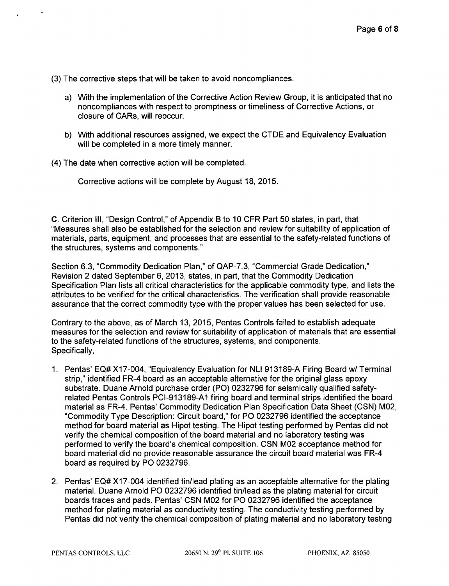(3) The corrective steps that will be taken to avoid noncompliances.

- a) With the implementation of the Corrective Action Review Group, it is anticipated that no noncompliances with respect to promptness or timeliness of Corrective Actions, or closure of CARs, will reoccur.
- b) With additional resources assigned, we expect the CTDE and Equivalency Evaluation will be completed in a more timely manner.
- (4) The date when corrective action will be completed.

Corrective actions will be complete by August 18, 2015.

C. Criterion Ill, "Design Control," of Appendix B to 10 CFR Part 50 states, in part, that "Measures shall also be established for the selection and review for suitability of application of materials, parts, equipment, and processes that are essential to the safety-related functions of the structures, systems and components."

Section 6.3, "Commodity Dedication Plan," of QAP-7.3, "Commercial Grade Dedication," Revision 2 dated September 6, 2013, states, in part, that the Commodity Dedication Specification Plan lists all critical characteristics for the applicable commodity type, and lists the attributes to be verified for the critical characteristics. The verification shall provide reasonable assurance that the correct commodity type with the proper values has been selected for use.

Contrary to the above, as of March 13, 2015, Pentas Controls failed to establish adequate measures for the selection and review for suitability of application of materials that are essential to the safety-related functions of the structures, systems, and components. Specifically,

- 1. Pentas' EQ# X17-004, "Equivalency Evaluation for NLI 913189-A Firing Board w/ Terminal strip," identified FR-4 board as an acceptable alternative for the original glass epoxy substrate. Duane Arnold purchase order (PO) 0232796 for seismically qualified safetyrelated Pentas Controls PCI-913189-Al firing board and terminal strips identified the board material as FR-4. Pentas' Commodity Dedication Plan Specification Data Sheet (CSN) M02, "Commodity Type Description: Circuit board," for PO 0232796 identified the acceptance method for board material as Hipot testing. The Hipot testing performed by Pentas did not verify the chemical composition of the board material and no laboratory testing was performed to verify the board's chemical composition. CSN M02 acceptance method for board material did no provide reasonable assurance the circuit board material was FR-4 board as required by PO 0232796.
- 2. Pentas' EQ# X17-004 identified tin/lead plating as an acceptable alternative for the plating material. Duane Arnold PO 0232796 identified tin/lead as the plating material for circuit boards traces and pads. Pentas' CSN M02 for PO 0232796 identified the acceptance method for plating material as conductivity testing. The conductivity testing performed by Pentas did not verify the chemical composition of plating material and no laboratory testing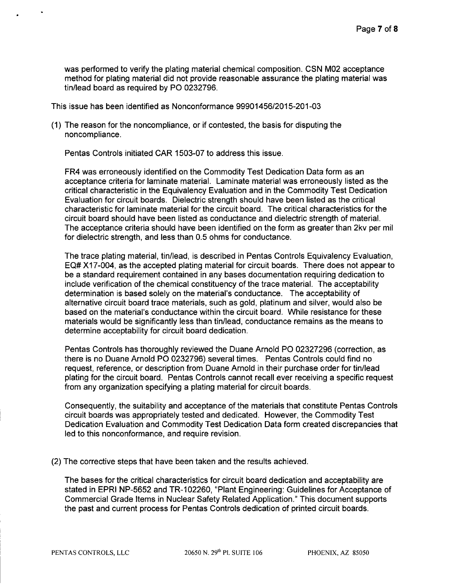was performed to verify the plating material chemical composition. CSN M02 acceptance method for plating material did not provide reasonable assurance the plating material was tin/lead board as required by PO 0232796.

This issue has been identified as Nonconformance 99901456/2015-201-03

(1) The reason for the noncompliance, or if contested, the basis for disputing the noncompliance.

Pentas Controls initiated CAR 1503-07 to address this issue.

FR4 was erroneously identified on the Commodity Test Dedication Data form as an acceptance criteria for laminate material. Laminate material was erroneously listed as the critical characteristic in the Equivalency Evaluation and in the Commodity Test Dedication Evaluation for circuit boards. Dielectric strength should have been listed as the critical characteristic for laminate material for the circuit board. The critical characteristics for the circuit board should have been listed as conductance and dielectric strength of material. The acceptance criteria should have been identified on the form as greater than 2kv per mil for dielectric strength, and less than 0.5 ohms for conductance.

The trace plating material, tin/lead, is described in Pentas Controls Equivalency Evaluation, EQ# X17-004, as the accepted plating material for circuit boards. There does not appear to be a standard requirement contained in any bases documentation requiring dedication to include verification of the chemical constituency of the trace material. The acceptability determination is based solely on the material's conductance. The acceptability of alternative circuit board trace materials, such as gold, platinum and silver, would also be based on the material's conductance within the circuit board. While resistance for these materials would be significantly less than tin/lead, conductance remains as the means to determine acceptability for circuit board dedication.

Pentas Controls has thoroughly reviewed the Duane Arnold PO 02327296 (correction, as there is no Duane Arnold PO 0232796) several times. Pentas Controls could find no request, reference, or description from Duane Arnold in their purchase order for tin/lead plating for the circuit board. Pentas Controls cannot recall ever receiving a specific request from any organization specifying a plating material for circuit boards.

Consequently, the suitability and acceptance of the materials that constitute Pentas Controls circuit boards was appropriately tested and dedicated. However, the Commodity Test Dedication Evaluation and Commodity Test Dedication Data form created discrepancies that led to this nonconformance, and require revision.

(2) The corrective steps that have been taken and the results achieved.

The bases for the critical characteristics for circuit board dedication and acceptability are stated in EPRI NP-5652 and TR-1 02260, "Plant Engineering: Guidelines for Acceptance of Commercial Grade Items in Nuclear Safety Related Application." This document supports the past and current process for Pentas Controls dedication of printed circuit boards.